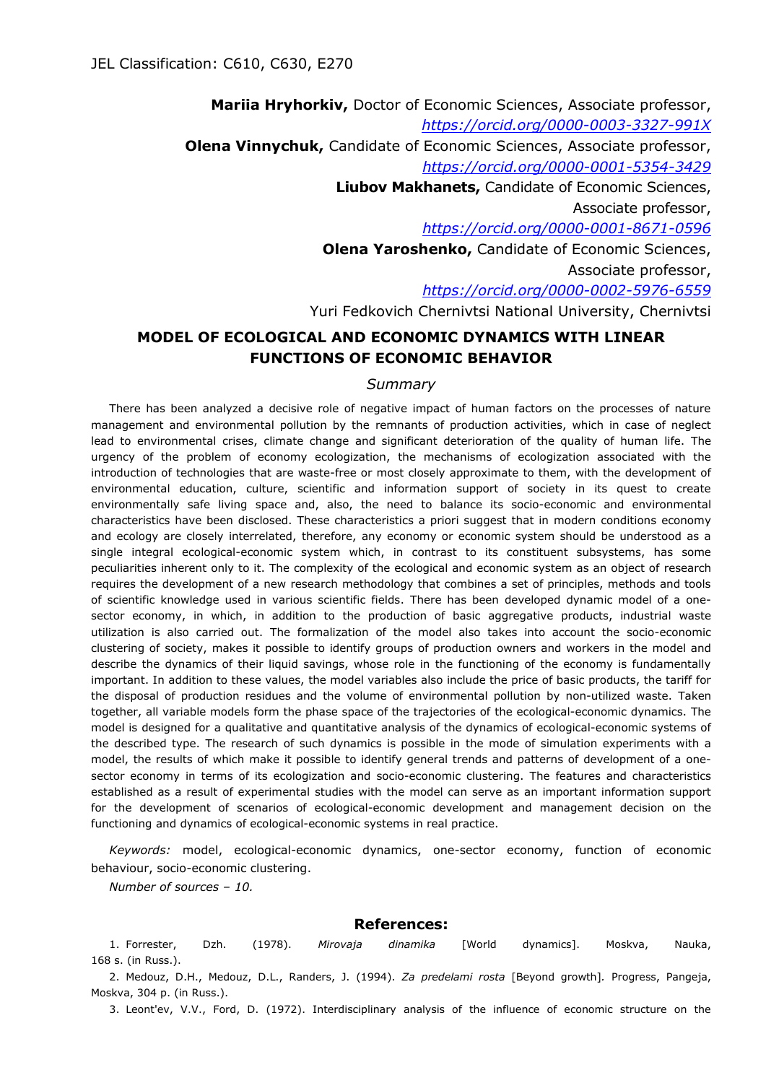**Mariia Hryhorkiv,** Doctor of Economic Sciences, Associate professor, *<https://orcid.org/0000-0003-3327-991X>* **Olena Vinnychuk,** Candidate of Economic Sciences, Associate professor, *<https://orcid.org/0000-0001-5354-3429>* **Liubov Makhanets,** Candidate of Economic Sciences, Associate professor, *<https://orcid.org/0000-0001-8671-0596>* **Olena Yaroshenko,** Candidate of Economic Sciences, Associate professor, *<https://orcid.org/0000-0002-5976-6559>* Yuri Fedkovich Chernivtsi National University, Chernivtsi

## **MODEL OF ECOLOGICAL AND ECONOMIC DYNAMICS WITH LINEAR FUNCTIONS OF ECONOMIC BEHAVIOR**

## *Summary*

There has been analyzed a decisive role of negative impact of human factors on the processes of nature management and environmental pollution by the remnants of production activities, which in case of neglect lead to environmental crises, climate change and significant deterioration of the quality of human life. The urgency of the problem of economy ecologization, the mechanisms of ecologization associated with the introduction of technologies that are waste-free or most closely approximate to them, with the development of environmental education, culture, scientific and information support of society in its quest to create environmentally safe living space and, also, the need to balance its socio-economic and environmental characteristics have been disclosed. These characteristics a priori suggest that in modern conditions economy and ecology are closely interrelated, therefore, any economy or economic system should be understood as a single integral ecological-economic system which, in contrast to its constituent subsystems, has some peculiarities inherent only to it. The complexity of the ecological and economic system as an object of research requires the development of a new research methodology that combines a set of principles, methods and tools of scientific knowledge used in various scientific fields. There has been developed dynamic model of a onesector economy, in which, in addition to the production of basic aggregative products, industrial waste utilization is also carried out. The formalization of the model also takes into account the socio-economic clustering of society, makes it possible to identify groups of production owners and workers in the model and describe the dynamics of their liquid savings, whose role in the functioning of the economy is fundamentally important. In addition to these values, the model variables also include the price of basic products, the tariff for the disposal of production residues and the volume of environmental pollution by non-utilized waste. Taken together, all variable models form the phase space of the trajectories of the ecological-economic dynamics. The model is designed for a qualitative and quantitative analysis of the dynamics of ecological-economic systems of the described type. The research of such dynamics is possible in the mode of simulation experiments with a model, the results of which make it possible to identify general trends and patterns of development of a onesector economy in terms of its ecologization and socio-economic clustering. The features and characteristics established as a result of experimental studies with the model can serve as an important information support for the development of scenarios of ecological-economic development and management decision on the functioning and dynamics of ecological-economic systems in real practice.

*Keywords:* model, ecological-economic dynamics, one-sector economy, function of economic behaviour, socio-economic clustering.

*Number of sources – 10.*

## **References:**

1. Forrester, Dzh. (1978). *Mirovaja dinamika* [World dynamics]. Moskva, Nauka, 168 s. (in Russ.).

2. Medouz, D.H., Medouz, D.L., Randers, J. (1994). *Za predelami rosta* [Beyond growth]*.* Progress, Pangeja, Moskva, 304 p. (in Russ.).

3. Leont'ev, V.V., Ford, D. (1972). Interdisciplinary analysis of the influence of economic structure on the